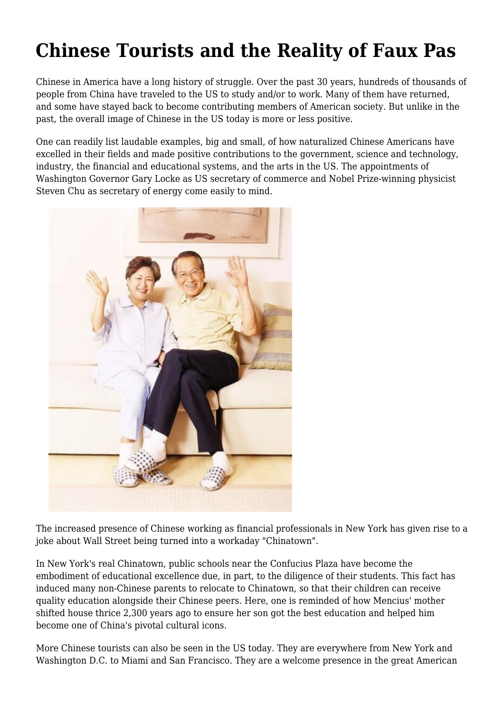## **Chinese Tourists and the Reality of Faux Pas**

Chinese in America have a long history of struggle. Over the past 30 years, hundreds of thousands of people from China have traveled to the US to study and/or to work. Many of them have returned, and some have stayed back to become contributing members of American society. But unlike in the past, the overall image of Chinese in the US today is more or less positive.

One can readily list laudable examples, big and small, of how naturalized Chinese Americans have excelled in their fields and made positive contributions to the government, science and technology, industry, the financial and educational systems, and the arts in the US. The appointments of Washington Governor Gary Locke as US secretary of commerce and Nobel Prize-winning physicist Steven Chu as secretary of energy come easily to mind.



The increased presence of Chinese working as financial professionals in New York has given rise to a joke about Wall Street being turned into a workaday "Chinatown".

In New York's real Chinatown, public schools near the Confucius Plaza have become the embodiment of educational excellence due, in part, to the diligence of their students. This fact has induced many non-Chinese parents to relocate to Chinatown, so that their children can receive quality education alongside their Chinese peers. Here, one is reminded of how Mencius' mother shifted house thrice 2,300 years ago to ensure her son got the best education and helped him become one of China's pivotal cultural icons.

More Chinese tourists can also be seen in the US today. They are everywhere from New York and Washington D.C. to Miami and San Francisco. They are a welcome presence in the great American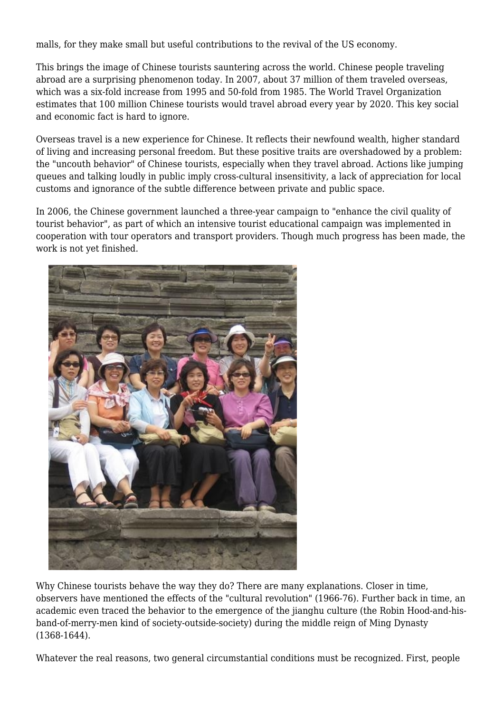malls, for they make small but useful contributions to the revival of the US economy.

This brings the image of Chinese tourists sauntering across the world. Chinese people traveling abroad are a surprising phenomenon today. In 2007, about 37 million of them traveled overseas, which was a six-fold increase from 1995 and 50-fold from 1985. The World Travel Organization estimates that 100 million Chinese tourists would travel abroad every year by 2020. This key social and economic fact is hard to ignore.

Overseas travel is a new experience for Chinese. It reflects their newfound wealth, higher standard of living and increasing personal freedom. But these positive traits are overshadowed by a problem: the "uncouth behavior" of Chinese tourists, especially when they travel abroad. Actions like jumping queues and talking loudly in public imply cross-cultural insensitivity, a lack of appreciation for local customs and ignorance of the subtle difference between private and public space.

In 2006, the Chinese government launched a three-year campaign to "enhance the civil quality of tourist behavior", as part of which an intensive tourist educational campaign was implemented in cooperation with tour operators and transport providers. Though much progress has been made, the work is not yet finished.



Why Chinese tourists behave the way they do? There are many explanations. Closer in time, observers have mentioned the effects of the "cultural revolution" (1966-76). Further back in time, an academic even traced the behavior to the emergence of the jianghu culture (the Robin Hood-and-hisband-of-merry-men kind of society-outside-society) during the middle reign of Ming Dynasty (1368-1644).

Whatever the real reasons, two general circumstantial conditions must be recognized. First, people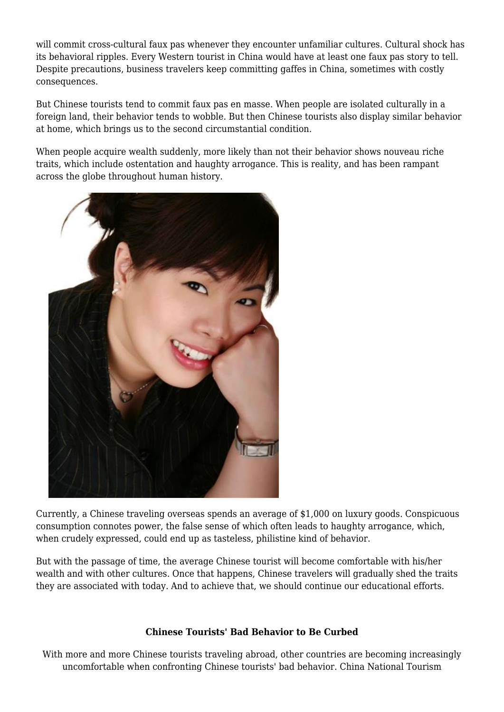will commit cross-cultural faux pas whenever they encounter unfamiliar cultures. Cultural shock has its behavioral ripples. Every Western tourist in China would have at least one faux pas story to tell. Despite precautions, business travelers keep committing gaffes in China, sometimes with costly consequences.

But Chinese tourists tend to commit faux pas en masse. When people are isolated culturally in a foreign land, their behavior tends to wobble. But then Chinese tourists also display similar behavior at home, which brings us to the second circumstantial condition.

When people acquire wealth suddenly, more likely than not their behavior shows nouveau riche traits, which include ostentation and haughty arrogance. This is reality, and has been rampant across the globe throughout human history.



Currently, a Chinese traveling overseas spends an average of \$1,000 on luxury goods. Conspicuous consumption connotes power, the false sense of which often leads to haughty arrogance, which, when crudely expressed, could end up as tasteless, philistine kind of behavior.

But with the passage of time, the average Chinese tourist will become comfortable with his/her wealth and with other cultures. Once that happens, Chinese travelers will gradually shed the traits they are associated with today. And to achieve that, we should continue our educational efforts.

## **Chinese Tourists' Bad Behavior to Be Curbed**

With more and more Chinese tourists traveling abroad, other countries are becoming increasingly uncomfortable when confronting Chinese tourists' bad behavior. China National Tourism